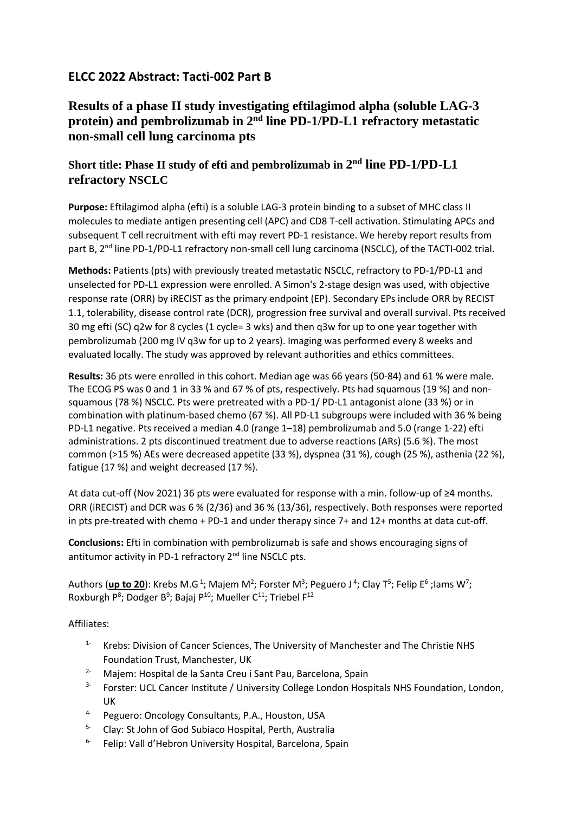## **ELCC 2022 Abstract: Tacti-002 Part B**

## **Results of a phase II study investigating eftilagimod alpha (soluble LAG-3 protein) and pembrolizumab in 2nd line PD-1/PD-L1 refractory metastatic non-small cell lung carcinoma pts**

## **Short title: Phase II study of efti and pembrolizumab in 2 nd line PD-1/PD-L1 refractory NSCLC**

**Purpose:** Eftilagimod alpha (efti) is a soluble LAG-3 protein binding to a subset of MHC class II molecules to mediate antigen presenting cell (APC) and CD8 T-cell activation. Stimulating APCs and subsequent T cell recruitment with efti may revert PD-1 resistance. We hereby report results from part B, 2<sup>nd</sup> line PD-1/PD-L1 refractory non-small cell lung carcinoma (NSCLC), of the TACTI-002 trial.

**Methods:** Patients (pts) with previously treated metastatic NSCLC, refractory to PD-1/PD-L1 and unselected for PD-L1 expression were enrolled. A Simon's 2-stage design was used, with objective response rate (ORR) by iRECIST as the primary endpoint (EP). Secondary EPs include ORR by RECIST 1.1, tolerability, disease control rate (DCR), progression free survival and overall survival. Pts received 30 mg efti (SC) q2w for 8 cycles (1 cycle= 3 wks) and then q3w for up to one year together with pembrolizumab (200 mg IV q3w for up to 2 years). Imaging was performed every 8 weeks and evaluated locally. The study was approved by relevant authorities and ethics committees.

**Results:** 36 pts were enrolled in this cohort. Median age was 66 years (50-84) and 61 % were male. The ECOG PS was 0 and 1 in 33 % and 67 % of pts, respectively. Pts had squamous (19 %) and nonsquamous (78 %) NSCLC. Pts were pretreated with a PD-1/ PD-L1 antagonist alone (33 %) or in combination with platinum-based chemo (67 %). All PD-L1 subgroups were included with 36 % being PD-L1 negative. Pts received a median 4.0 (range 1–18) pembrolizumab and 5.0 (range 1-22) efti administrations. 2 pts discontinued treatment due to adverse reactions (ARs) (5.6 %). The most common (>15 %) AEs were decreased appetite (33 %), dyspnea (31 %), cough (25 %), asthenia (22 %), fatigue (17 %) and weight decreased (17 %).

At data cut-off (Nov 2021) 36 pts were evaluated for response with a min. follow-up of ≥4 months. ORR (iRECIST) and DCR was 6 % (2/36) and 36 % (13/36), respectively. Both responses were reported in pts pre-treated with chemo + PD-1 and under therapy since 7+ and 12+ months at data cut-off.

**Conclusions:** Efti in combination with pembrolizumab is safe and shows encouraging signs of antitumor activity in PD-1 refractory 2<sup>nd</sup> line NSCLC pts.

Authors (up to 20): Krebs M.G<sup>1</sup>; Majem M<sup>2</sup>; Forster M<sup>3</sup>; Peguero J<sup>4</sup>; Clay T<sup>5</sup>; Felip E<sup>6</sup> ;lams W<sup>7</sup>; Roxburgh P<sup>8</sup>; Dodger B<sup>9</sup>; Bajaj P<sup>10</sup>; Mueller C<sup>11</sup>; Triebel F<sup>12</sup>

Affiliates:

- 1- Krebs: Division of Cancer Sciences, The University of Manchester and The Christie NHS Foundation Trust, Manchester, UK
- <sup>2</sup> Majem: Hospital de la Santa Creu i Sant Pau, Barcelona, Spain
- <sup>3-</sup> Forster: UCL Cancer Institute / University College London Hospitals NHS Foundation, London, UK
- 4- Peguero: Oncology Consultants, P.A., Houston, USA
- 5- Clay: St John of God Subiaco Hospital, Perth, Australia
- 6- Felip: Vall d'Hebron University Hospital, Barcelona, Spain